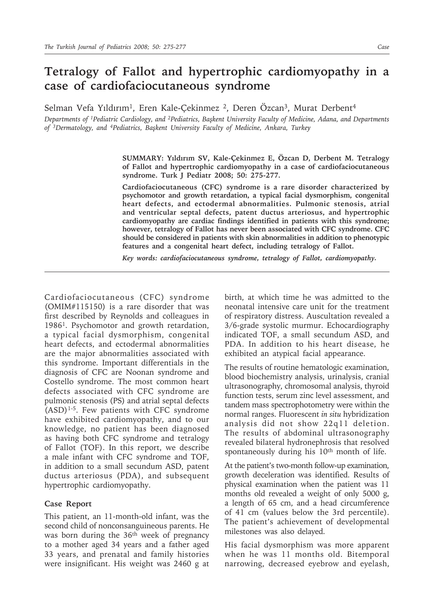## **Tetralogy of Fallot and hypertrophic cardiomyopathy in a case of cardiofaciocutaneous syndrome**

Selman Vefa Yıldırım<sup>1</sup>, Eren Kale-Çekinmez <sup>2</sup>, Deren Özcan<sup>3</sup>, Murat Derbent<sup>4</sup>

*Departments of 1Pediatric Cardiology, and 2Pediatrics, Başkent University Faculty of Medicine, Adana, and Departments of 3Dermatology, and 4Pediatrics, Başkent University Faculty of Medicine, Ankara, Turkey*

> **SUMMARY: Yıldırım SV, Kale-Çekinmez E, Özcan D, Derbent M. Tetralogy of Fallot and hypertrophic cardiomyopathy in a case of cardiofaciocutaneous syndrome. Turk J Pediatr 2008; 50: 275-277.**

> **Cardiofaciocutaneous (CFC) syndrome is a rare disorder characterized by psychomotor and growth retardation, a typical facial dysmorphism, congenital heart defects, and ectodermal abnormalities. Pulmonic stenosis, atrial and ventricular septal defects, patent ductus arteriosus, and hypertrophic cardiomyopathy are cardiac findings identified in patients with this syndrome; however, tetralogy of Fallot has never been associated with CFC syndrome. CFC should be considered in patients with skin abnormalities in addition to phenotypic features and a congenital heart defect, including tetralogy of Fallot.**

*Key words: cardiofaciocutaneous syndrome, tetralogy of Fallot, cardiomyopathy.*

Cardiofaciocutaneous (CFC) syndrome (OMIM#115150) is a rare disorder that was first described by Reynolds and colleagues in 19861. Psychomotor and growth retardation, a typical facial dysmorphism, congenital heart defects, and ectodermal abnormalities are the major abnormalities associated with this syndrome. Important differentials in the diagnosis of CFC are Noonan syndrome and Costello syndrome. The most common heart defects associated with CFC syndrome are pulmonic stenosis (PS) and atrial septal defects (ASD)1-5. Few patients with CFC syndrome have exhibited cardiomyopathy, and to our knowledge, no patient has been diagnosed as having both CFC syndrome and tetralogy of Fallot (TOF). In this report, we describe a male infant with CFC syndrome and TOF, in addition to a small secundum ASD, patent ductus arteriosus (PDA), and subsequent hypertrophic cardiomyopathy.

## **Case Report**

This patient, an 11-month-old infant, was the second child of nonconsanguineous parents. He was born during the 36<sup>th</sup> week of pregnancy to a mother aged 34 years and a father aged 33 years, and prenatal and family histories were insignificant. His weight was 2460 g at

birth, at which time he was admitted to the neonatal intensive care unit for the treatment of respiratory distress. Auscultation revealed a 3/6-grade systolic murmur. Echocardiography indicated TOF, a small secundum ASD, and PDA. In addition to his heart disease, he exhibited an atypical facial appearance.

The results of routine hematologic examination, blood biochemistry analysis, urinalysis, cranial ultrasonography, chromosomal analysis, thyroid function tests, serum zinc level assessment, and tandem mass spectrophotometry were within the normal ranges. Fluorescent *in situ* hybridization analysis did not show 22q11 deletion. The results of abdominal ultrasonography revealed bilateral hydronephrosis that resolved spontaneously during his 10<sup>th</sup> month of life.

At the patient's two-month follow-up examination, growth deceleration was identified. Results of physical examination when the patient was 11 months old revealed a weight of only 5000 g, a length of 65 cm, and a head circumference of 41 cm (values below the 3rd percentile). The patient's achievement of developmental milestones was also delayed.

His facial dysmorphism was more apparent when he was 11 months old. Bitemporal narrowing, decreased eyebrow and eyelash,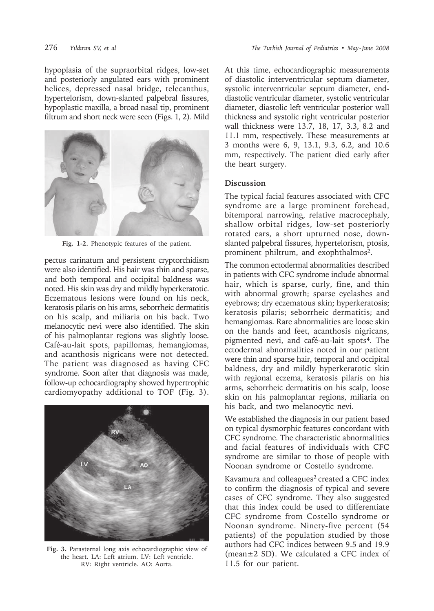hypoplasia of the supraorbital ridges, low-set and posteriorly angulated ears with prominent helices, depressed nasal bridge, telecanthus, hypertelorism, down-slanted palpebral fissures, hypoplastic maxilla, a broad nasal tip, prominent filtrum and short neck were seen (Figs. 1, 2). Mild



**Fig. 1-2.** Phenotypic features of the patient.

pectus carinatum and persistent cryptorchidism were also identified. His hair was thin and sparse, and both temporal and occipital baldness was noted. His skin was dry and mildly hyperkeratotic. Eczematous lesions were found on his neck, keratosis pilaris on his arms, seborrheic dermatitis on his scalp, and miliaria on his back. Two melanocytic nevi were also identified. The skin of his palmoplantar regions was slightly loose. Café-au-lait spots, papillomas, hemangiomas, and acanthosis nigricans were not detected. The patient was diagnosed as having CFC syndrome. Soon after that diagnosis was made, follow-up echocardiography showed hypertrophic cardiomyopathy additional to TOF (Fig. 3).



**Fig. 3.** Parasternal long axis echocardiographic view of the heart. LA: Left atrium. LV: Left ventricle. RV: Right ventricle. AO: Aorta.

At this time, echocardiographic measurements of diastolic interventricular septum diameter, systolic interventricular septum diameter, enddiastolic ventricular diameter, systolic ventricular diameter, diastolic left ventricular posterior wall thickness and systolic right ventricular posterior wall thickness were 13.7, 18, 17, 3.3, 8.2 and 11.1 mm, respectively. These measurements at 3 months were 6, 9, 13.1, 9.3, 6.2, and 10.6 mm, respectively. The patient died early after the heart surgery.

## **Discussion**

The typical facial features associated with CFC syndrome are a large prominent forehead, bitemporal narrowing, relative macrocephaly, shallow orbital ridges, low-set posteriorly rotated ears, a short upturned nose, downslanted palpebral fissures, hypertelorism, ptosis, prominent philtrum, and exophthalmos<sup>2</sup>.

The common ectodermal abnormalities described in patients with CFC syndrome include abnormal hair, which is sparse, curly, fine, and thin with abnormal growth; sparse eyelashes and eyebrows; dry eczematous skin; hyperkeratosis; keratosis pilaris; seborrheic dermatitis; and hemangiomas. Rare abnormalities are loose skin on the hands and feet, acanthosis nigricans, pigmented nevi, and café-au-lait spots<sup>4</sup>. The ectodermal abnormalities noted in our patient were thin and sparse hair, temporal and occipital baldness, dry and mildly hyperkeratotic skin with regional eczema, keratosis pilaris on his arms, seborrheic dermatitis on his scalp, loose skin on his palmoplantar regions, miliaria on his back, and two melanocytic nevi.

We established the diagnosis in our patient based on typical dysmorphic features concordant with CFC syndrome. The characteristic abnormalities and facial features of individuals with CFC syndrome are similar to those of people with Noonan syndrome or Costello syndrome.

Kavamura and colleagues<sup>2</sup> created a CFC index to confirm the diagnosis of typical and severe cases of CFC syndrome. They also suggested that this index could be used to differentiate CFC syndrome from Costello syndrome or Noonan syndrome. Ninety-five percent (54 patients) of the population studied by those authors had CFC indices between 9.5 and 19.9 (mean±2 SD). We calculated a CFC index of 11.5 for our patient.